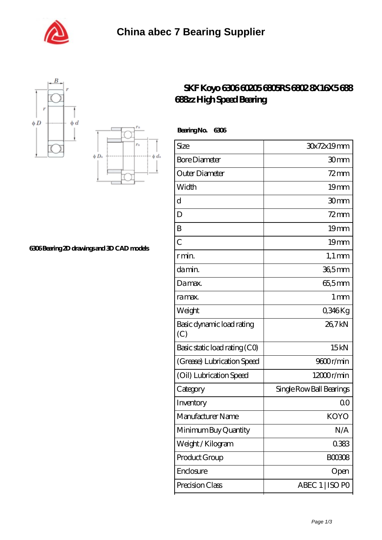





## **[6306 Bearing 2D drawings and 3D CAD models](https://m.shawnwhisenant.com/pic-65268668.html)**

## **[SKF Koyo 6306 60205 6805RS 6802 8X16X5 688](https://m.shawnwhisenant.com/688zz-bearing/koyo-6306.html) [688zz High Speed Bearing](https://m.shawnwhisenant.com/688zz-bearing/koyo-6306.html)**

 **Bearing No. 6306**

| Size                             | 30x72x19mm               |
|----------------------------------|--------------------------|
| <b>Bore Diameter</b>             | 30mm                     |
| Outer Diameter                   | $72$ mm                  |
| Width                            | 19 <sub>mm</sub>         |
| d                                | 30mm                     |
| D                                | $72$ mm                  |
| B                                | 19 <sub>mm</sub>         |
| $\overline{C}$                   | 19 <sub>mm</sub>         |
| r min.                           | $1,1 \text{ mm}$         |
| da min.                          | 36,5mm                   |
| Damax.                           | 65,5mm                   |
| ra max.                          | 1 mm                     |
| Weight                           | 0,346Kg                  |
| Basic dynamic load rating<br>(C) | 26,7kN                   |
| Basic static load rating (CO)    | 15kN                     |
| (Grease) Lubrication Speed       | 9600r/min                |
| (Oil) Lubrication Speed          | 12000r/min               |
| Category                         | Single Row Ball Bearings |
| Inventory                        | 0 <sup>0</sup>           |
| Manufacturer Name                | <b>KOYO</b>              |
| Minimum Buy Quantity             | N/A                      |
| Weight / Kilogram                | 0383                     |
| Product Group                    | <b>BOO3O8</b>            |
| Enclosure                        | Open                     |
| Precision Class                  | ABEC 1   ISO PO          |
|                                  |                          |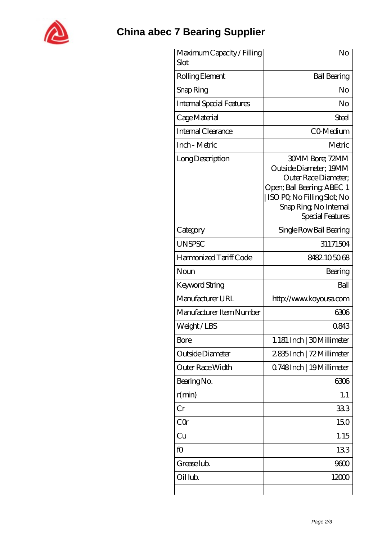

## **[China abec 7 Bearing Supplier](https://m.shawnwhisenant.com)**

| Maximum Capacity / Filling<br>Slot | No                                                                                                                                                                                   |
|------------------------------------|--------------------------------------------------------------------------------------------------------------------------------------------------------------------------------------|
| Rolling Element                    | <b>Ball Bearing</b>                                                                                                                                                                  |
| Snap Ring                          | No                                                                                                                                                                                   |
| <b>Internal Special Features</b>   | No                                                                                                                                                                                   |
| Cage Material                      | Steel                                                                                                                                                                                |
| <b>Internal Clearance</b>          | CO-Medium                                                                                                                                                                            |
| Inch - Metric                      | Metric                                                                                                                                                                               |
| Long Description                   | <b>30MM Bore; 72MM</b><br>Outside Diameter; 19MM<br>Outer Race Diameter:<br>Open; Ball Bearing; ABEC 1<br>  ISO PQ No Filling Slot; No<br>Snap Ring, No Internal<br>Special Features |
| Category                           | Single Row Ball Bearing                                                                                                                                                              |
| <b>UNSPSC</b>                      | 31171504                                                                                                                                                                             |
| Harmonized Tariff Code             | 8482105068                                                                                                                                                                           |
| Noun                               | Bearing                                                                                                                                                                              |
| Keyword String                     | Ball                                                                                                                                                                                 |
| Manufacturer URL                   | http://www.koyousa.com                                                                                                                                                               |
| Manufacturer Item Number           | 6306                                                                                                                                                                                 |
| Weight/LBS                         | 0843                                                                                                                                                                                 |
| Bore                               | 1.181 Inch   30 Millimeter                                                                                                                                                           |
| Outside Diameter                   | 2835Inch   72 Millimeter                                                                                                                                                             |
| Outer Race Width                   | 0.748Inch   19Millimeter                                                                                                                                                             |
| Bearing No.                        | 6306                                                                                                                                                                                 |
| r(min)                             | 1.1                                                                                                                                                                                  |
| Cr                                 | 333                                                                                                                                                                                  |
| CQr                                | 150                                                                                                                                                                                  |
| Cu                                 | 1.15                                                                                                                                                                                 |
| fO                                 | 133                                                                                                                                                                                  |
| Grease lub.                        | 9600                                                                                                                                                                                 |
| Oil lub.                           | 12000                                                                                                                                                                                |
|                                    |                                                                                                                                                                                      |